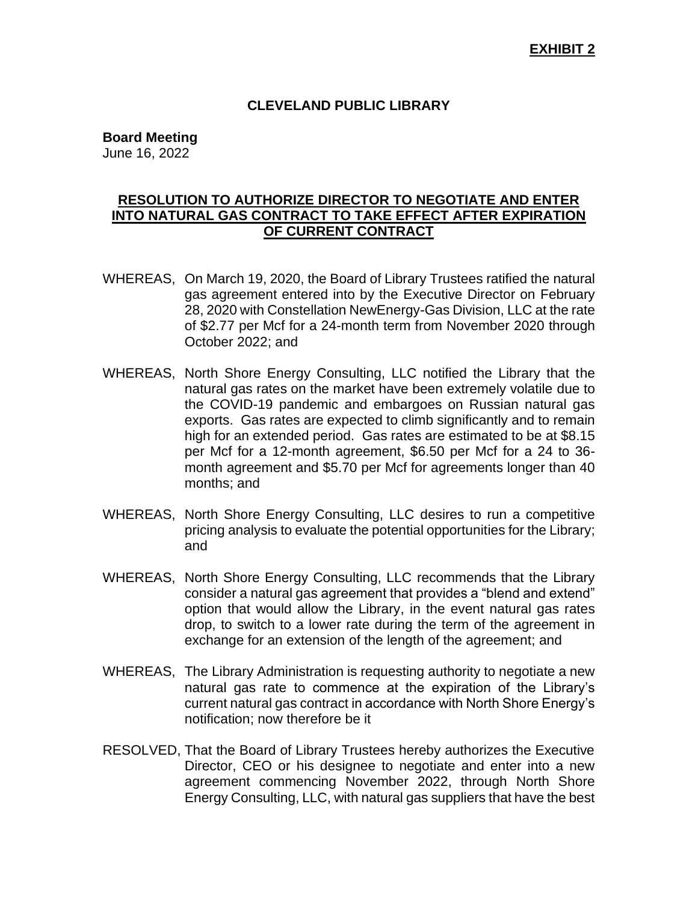## **CLEVELAND PUBLIC LIBRARY**

**Board Meeting**

June 16, 2022

## **RESOLUTION TO AUTHORIZE DIRECTOR TO NEGOTIATE AND ENTER INTO NATURAL GAS CONTRACT TO TAKE EFFECT AFTER EXPIRATION OF CURRENT CONTRACT**

- WHEREAS, On March 19, 2020, the Board of Library Trustees ratified the natural gas agreement entered into by the Executive Director on February 28, 2020 with Constellation NewEnergy-Gas Division, LLC at the rate of \$2.77 per Mcf for a 24-month term from November 2020 through October 2022; and
- WHEREAS, North Shore Energy Consulting, LLC notified the Library that the natural gas rates on the market have been extremely volatile due to the COVID-19 pandemic and embargoes on Russian natural gas exports. Gas rates are expected to climb significantly and to remain high for an extended period. Gas rates are estimated to be at \$8.15 per Mcf for a 12-month agreement, \$6.50 per Mcf for a 24 to 36 month agreement and \$5.70 per Mcf for agreements longer than 40 months; and
- WHEREAS, North Shore Energy Consulting, LLC desires to run a competitive pricing analysis to evaluate the potential opportunities for the Library; and
- WHEREAS, North Shore Energy Consulting, LLC recommends that the Library consider a natural gas agreement that provides a "blend and extend" option that would allow the Library, in the event natural gas rates drop, to switch to a lower rate during the term of the agreement in exchange for an extension of the length of the agreement; and
- WHEREAS, The Library Administration is requesting authority to negotiate a new natural gas rate to commence at the expiration of the Library's current natural gas contract in accordance with North Shore Energy's notification; now therefore be it
- RESOLVED, That the Board of Library Trustees hereby authorizes the Executive Director, CEO or his designee to negotiate and enter into a new agreement commencing November 2022, through North Shore Energy Consulting, LLC, with natural gas suppliers that have the best